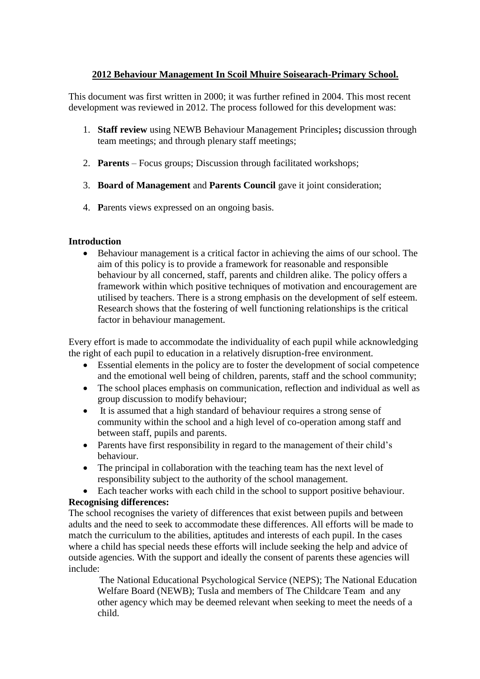## **2012 Behaviour Management In Scoil Mhuire Soisearach-Primary School.**

This document was first written in 2000; it was further refined in 2004. This most recent development was reviewed in 2012. The process followed for this development was:

- 1. **Staff review** using NEWB Behaviour Management Principles**;** discussion through team meetings; and through plenary staff meetings;
- 2. **Parents** Focus groups; Discussion through facilitated workshops;
- 3. **Board of Management** and **Parents Council** gave it joint consideration;
- 4. **P**arents views expressed on an ongoing basis.

## **Introduction**

 Behaviour management is a critical factor in achieving the aims of our school. The aim of this policy is to provide a framework for reasonable and responsible behaviour by all concerned, staff, parents and children alike. The policy offers a framework within which positive techniques of motivation and encouragement are utilised by teachers. There is a strong emphasis on the development of self esteem. Research shows that the fostering of well functioning relationships is the critical factor in behaviour management.

Every effort is made to accommodate the individuality of each pupil while acknowledging the right of each pupil to education in a relatively disruption-free environment.

- Essential elements in the policy are to foster the development of social competence and the emotional well being of children, parents, staff and the school community;
- The school places emphasis on communication, reflection and individual as well as group discussion to modify behaviour;
- It is assumed that a high standard of behaviour requires a strong sense of community within the school and a high level of co-operation among staff and between staff, pupils and parents.
- Parents have first responsibility in regard to the management of their child's behaviour.
- The principal in collaboration with the teaching team has the next level of responsibility subject to the authority of the school management.
- Each teacher works with each child in the school to support positive behaviour.

## **Recognising differences:**

The school recognises the variety of differences that exist between pupils and between adults and the need to seek to accommodate these differences. All efforts will be made to match the curriculum to the abilities, aptitudes and interests of each pupil. In the cases where a child has special needs these efforts will include seeking the help and advice of outside agencies. With the support and ideally the consent of parents these agencies will include:

The National Educational Psychological Service (NEPS); The National Education Welfare Board (NEWB); Tusla and members of The Childcare Team and any other agency which may be deemed relevant when seeking to meet the needs of a child.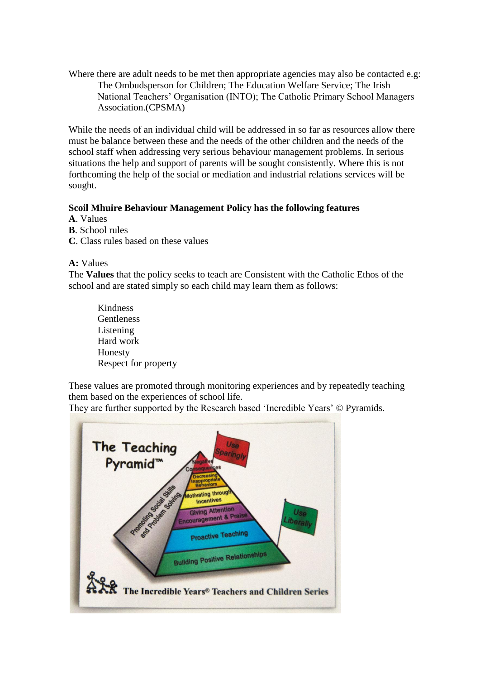Where there are adult needs to be met then appropriate agencies may also be contacted e.g: The Ombudsperson for Children; The Education Welfare Service; The Irish National Teachers' Organisation (INTO); The Catholic Primary School Managers Association.(CPSMA)

While the needs of an individual child will be addressed in so far as resources allow there must be balance between these and the needs of the other children and the needs of the school staff when addressing very serious behaviour management problems. In serious situations the help and support of parents will be sought consistently. Where this is not forthcoming the help of the social or mediation and industrial relations services will be sought.

## **Scoil Mhuire Behaviour Management Policy has the following features**

**A**. Values

**B**. School rules

**C**. Class rules based on these values

**A:** Values

The **Values** that the policy seeks to teach are Consistent with the Catholic Ethos of the school and are stated simply so each child may learn them as follows:

Kindness **Gentleness** Listening Hard work Honesty Respect for property

These values are promoted through monitoring experiences and by repeatedly teaching them based on the experiences of school life.

They are further supported by the Research based 'Incredible Years' © Pyramids.

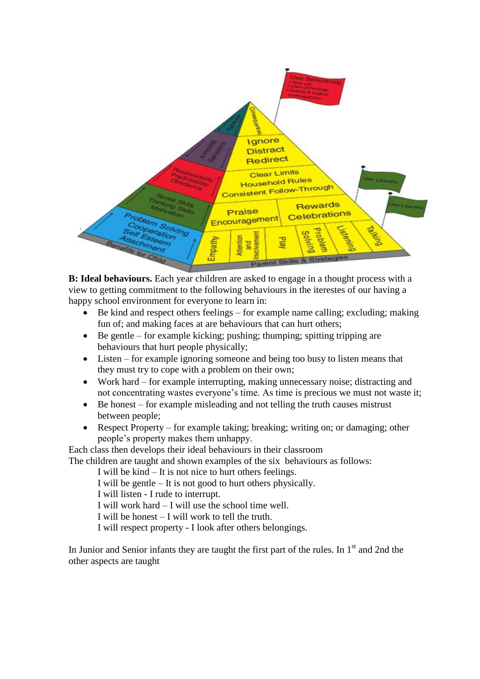

**B: Ideal behaviours.** Each year children are asked to engage in a thought process with a view to getting commitment to the following behaviours in the iterestes of our having a happy school environment for everyone to learn in:

- Be kind and respect others feelings for example name calling; excluding; making fun of; and making faces at are behaviours that can hurt others;
- $\bullet$  Be gentle for example kicking; pushing; thumping; spitting tripping are behaviours that hurt people physically;
- Listen for example ignoring someone and being too busy to listen means that they must try to cope with a problem on their own;
- Work hard for example interrupting, making unnecessary noise; distracting and not concentrating wastes everyone's time. As time is precious we must not waste it;
- Be honest for example misleading and not telling the truth causes mistrust between people;
- Respect Property for example taking; breaking; writing on; or damaging; other people's property makes them unhappy.

Each class then develops their ideal behaviours in their classroom

The children are taught and shown examples of the six behaviours as follows:

I will be kind – It is not nice to hurt others feelings.

I will be gentle – It is not good to hurt others physically.

I will listen - I rude to interrupt.

I will work hard – I will use the school time well.

I will be honest – I will work to tell the truth.

I will respect property - I look after others belongings.

In Junior and Senior infants they are taught the first part of the rules. In  $1<sup>st</sup>$  and 2nd the other aspects are taught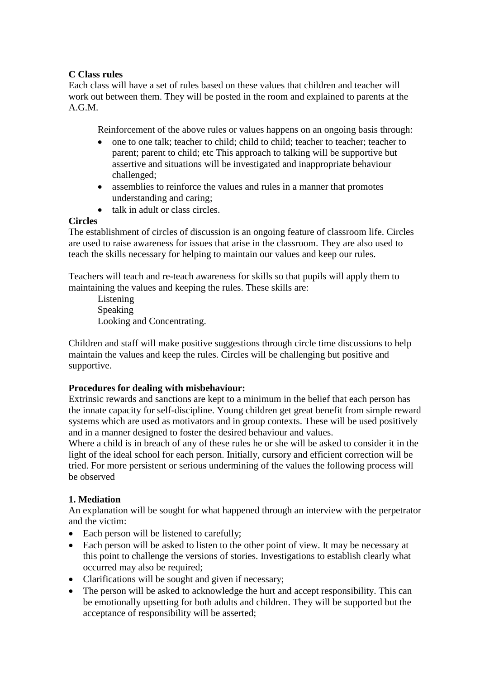### **C Class rules**

Each class will have a set of rules based on these values that children and teacher will work out between them. They will be posted in the room and explained to parents at the A.G.M.

Reinforcement of the above rules or values happens on an ongoing basis through:

- one to one talk; teacher to child; child to child; teacher to teacher; teacher to parent; parent to child; etc This approach to talking will be supportive but assertive and situations will be investigated and inappropriate behaviour challenged;
- assemblies to reinforce the values and rules in a manner that promotes understanding and caring;
- talk in adult or class circles.

### **Circles**

The establishment of circles of discussion is an ongoing feature of classroom life. Circles are used to raise awareness for issues that arise in the classroom. They are also used to teach the skills necessary for helping to maintain our values and keep our rules.

Teachers will teach and re-teach awareness for skills so that pupils will apply them to maintaining the values and keeping the rules. These skills are:

Listening Speaking Looking and Concentrating.

Children and staff will make positive suggestions through circle time discussions to help maintain the values and keep the rules. Circles will be challenging but positive and supportive.

## **Procedures for dealing with misbehaviour:**

Extrinsic rewards and sanctions are kept to a minimum in the belief that each person has the innate capacity for self-discipline. Young children get great benefit from simple reward systems which are used as motivators and in group contexts. These will be used positively and in a manner designed to foster the desired behaviour and values.

Where a child is in breach of any of these rules he or she will be asked to consider it in the light of the ideal school for each person. Initially, cursory and efficient correction will be tried. For more persistent or serious undermining of the values the following process will be observed

## **1. Mediation**

An explanation will be sought for what happened through an interview with the perpetrator and the victim:

- Each person will be listened to carefully;
- Each person will be asked to listen to the other point of view. It may be necessary at this point to challenge the versions of stories. Investigations to establish clearly what occurred may also be required;
- Clarifications will be sought and given if necessary;
- The person will be asked to acknowledge the hurt and accept responsibility. This can be emotionally upsetting for both adults and children. They will be supported but the acceptance of responsibility will be asserted;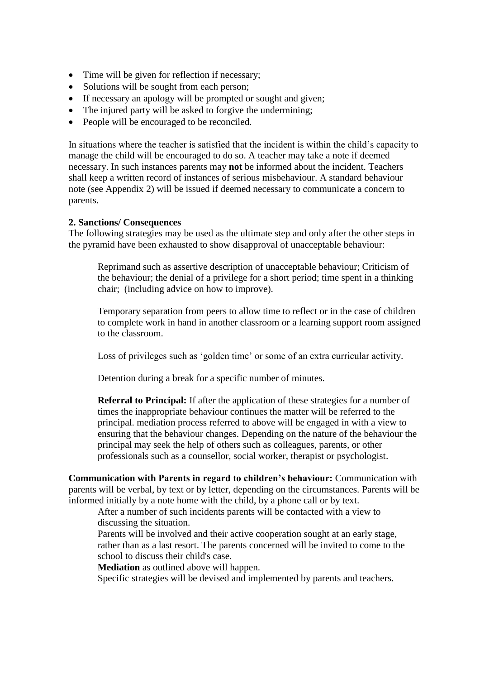- Time will be given for reflection if necessary;
- Solutions will be sought from each person;
- If necessary an apology will be prompted or sought and given;
- The injured party will be asked to forgive the undermining;
- People will be encouraged to be reconciled.

In situations where the teacher is satisfied that the incident is within the child's capacity to manage the child will be encouraged to do so. A teacher may take a note if deemed necessary. In such instances parents may **not** be informed about the incident. Teachers shall keep a written record of instances of serious misbehaviour. A standard behaviour note (see Appendix 2) will be issued if deemed necessary to communicate a concern to parents.

#### **2. Sanctions/ Consequences**

The following strategies may be used as the ultimate step and only after the other steps in the pyramid have been exhausted to show disapproval of unacceptable behaviour:

Reprimand such as assertive description of unacceptable behaviour; Criticism of the behaviour; the denial of a privilege for a short period; time spent in a thinking chair; (including advice on how to improve).

Temporary separation from peers to allow time to reflect or in the case of children to complete work in hand in another classroom or a learning support room assigned to the classroom.

Loss of privileges such as 'golden time' or some of an extra curricular activity.

Detention during a break for a specific number of minutes.

**Referral to Principal:** If after the application of these strategies for a number of times the inappropriate behaviour continues the matter will be referred to the principal. mediation process referred to above will be engaged in with a view to ensuring that the behaviour changes. Depending on the nature of the behaviour the principal may seek the help of others such as colleagues, parents, or other professionals such as a counsellor, social worker, therapist or psychologist.

**Communication with Parents in regard to children's behaviour:** Communication with parents will be verbal, by text or by letter, depending on the circumstances. Parents will be informed initially by a note home with the child, by a phone call or by text.

After a number of such incidents parents will be contacted with a view to discussing the situation.

Parents will be involved and their active cooperation sought at an early stage, rather than as a last resort. The parents concerned will be invited to come to the school to discuss their child's case.

**Mediation** as outlined above will happen.

Specific strategies will be devised and implemented by parents and teachers.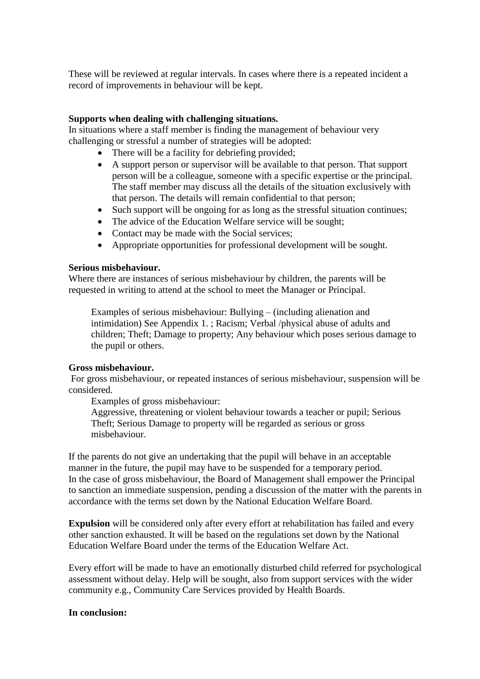These will be reviewed at regular intervals. In cases where there is a repeated incident a record of improvements in behaviour will be kept.

#### **Supports when dealing with challenging situations.**

In situations where a staff member is finding the management of behaviour very challenging or stressful a number of strategies will be adopted:

- There will be a facility for debriefing provided;
- A support person or supervisor will be available to that person. That support person will be a colleague, someone with a specific expertise or the principal. The staff member may discuss all the details of the situation exclusively with that person. The details will remain confidential to that person;
- Such support will be ongoing for as long as the stressful situation continues;
- The advice of the Education Welfare service will be sought;
- Contact may be made with the Social services;
- Appropriate opportunities for professional development will be sought.

#### **Serious misbehaviour.**

Where there are instances of serious misbehaviour by children, the parents will be requested in writing to attend at the school to meet the Manager or Principal.

Examples of serious misbehaviour: Bullying – (including alienation and intimidation) See Appendix 1. ; Racism; Verbal /physical abuse of adults and children; Theft; Damage to property; Any behaviour which poses serious damage to the pupil or others.

#### **Gross misbehaviour.**

For gross misbehaviour, or repeated instances of serious misbehaviour, suspension will be considered.

Examples of gross misbehaviour:

Aggressive, threatening or violent behaviour towards a teacher or pupil; Serious Theft; Serious Damage to property will be regarded as serious or gross misbehaviour.

If the parents do not give an undertaking that the pupil will behave in an acceptable manner in the future, the pupil may have to be suspended for a temporary period. In the case of gross misbehaviour, the Board of Management shall empower the Principal to sanction an immediate suspension, pending a discussion of the matter with the parents in accordance with the terms set down by the National Education Welfare Board.

**Expulsion** will be considered only after every effort at rehabilitation has failed and every other sanction exhausted. It will be based on the regulations set down by the National Education Welfare Board under the terms of the Education Welfare Act.

Every effort will be made to have an emotionally disturbed child referred for psychological assessment without delay. Help will be sought, also from support services with the wider community e.g., Community Care Services provided by Health Boards.

#### **In conclusion:**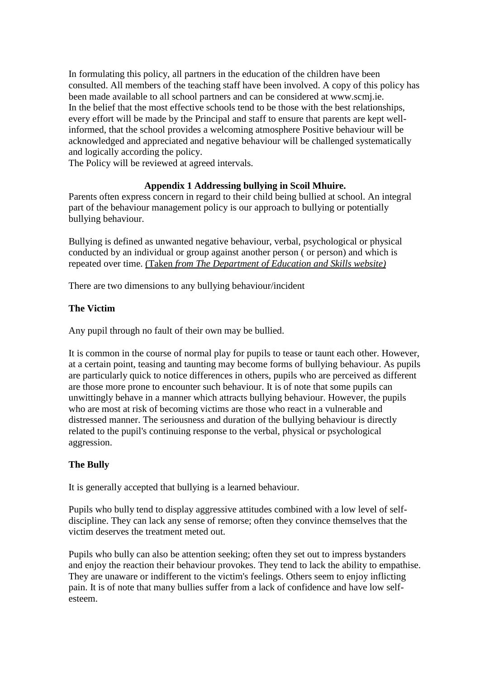In formulating this policy, all partners in the education of the children have been consulted. All members of the teaching staff have been involved. A copy of this policy has been made available to all school partners and can be considered at www.scmj.ie. In the belief that the most effective schools tend to be those with the best relationships, every effort will be made by the Principal and staff to ensure that parents are kept wellinformed, that the school provides a welcoming atmosphere Positive behaviour will be acknowledged and appreciated and negative behaviour will be challenged systematically and logically according the policy.

The Policy will be reviewed at agreed intervals.

## **Appendix 1 Addressing bullying in Scoil Mhuire.**

Parents often express concern in regard to their child being bullied at school. An integral part of the behaviour management policy is our approach to bullying or potentially bullying behaviour.

Bullying is defined as unwanted negative behaviour, verbal, psychological or physical conducted by an individual or group against another person ( or person) and which is repeated over time. (Taken *from The Department of Education and Skills website)* 

There are two dimensions to any bullying behaviour/incident

## **The Victim**

Any pupil through no fault of their own may be bullied.

It is common in the course of normal play for pupils to tease or taunt each other. However, at a certain point, teasing and taunting may become forms of bullying behaviour. As pupils are particularly quick to notice differences in others, pupils who are perceived as different are those more prone to encounter such behaviour. It is of note that some pupils can unwittingly behave in a manner which attracts bullying behaviour. However, the pupils who are most at risk of becoming victims are those who react in a vulnerable and distressed manner. The seriousness and duration of the bullying behaviour is directly related to the pupil's continuing response to the verbal, physical or psychological aggression.

#### **The Bully**

It is generally accepted that bullying is a learned behaviour.

Pupils who bully tend to display aggressive attitudes combined with a low level of selfdiscipline. They can lack any sense of remorse; often they convince themselves that the victim deserves the treatment meted out.

Pupils who bully can also be attention seeking; often they set out to impress bystanders and enjoy the reaction their behaviour provokes. They tend to lack the ability to empathise. They are unaware or indifferent to the victim's feelings. Others seem to enjoy inflicting pain. It is of note that many bullies suffer from a lack of confidence and have low selfesteem.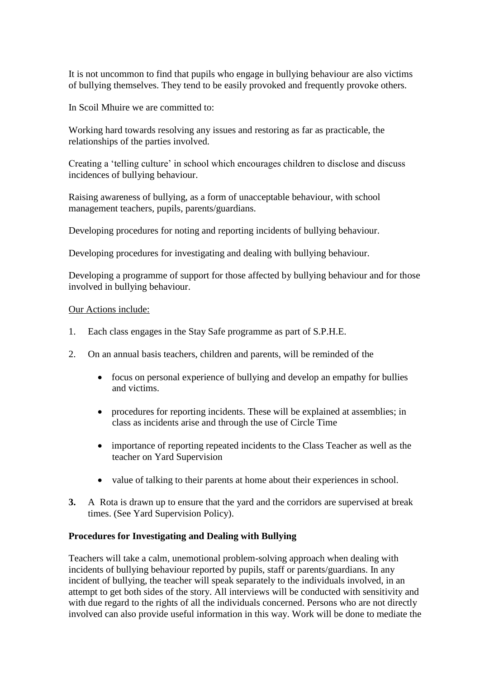It is not uncommon to find that pupils who engage in bullying behaviour are also victims of bullying themselves. They tend to be easily provoked and frequently provoke others.

In Scoil Mhuire we are committed to:

Working hard towards resolving any issues and restoring as far as practicable, the relationships of the parties involved.

Creating a 'telling culture' in school which encourages children to disclose and discuss incidences of bullying behaviour.

Raising awareness of bullying, as a form of unacceptable behaviour, with school management teachers, pupils, parents/guardians.

Developing procedures for noting and reporting incidents of bullying behaviour.

Developing procedures for investigating and dealing with bullying behaviour.

Developing a programme of support for those affected by bullying behaviour and for those involved in bullying behaviour.

#### Our Actions include:

- 1. Each class engages in the Stay Safe programme as part of S.P.H.E.
- 2. On an annual basis teachers, children and parents, will be reminded of the
	- focus on personal experience of bullying and develop an empathy for bullies and victims.
	- procedures for reporting incidents. These will be explained at assemblies; in class as incidents arise and through the use of Circle Time
	- importance of reporting repeated incidents to the Class Teacher as well as the teacher on Yard Supervision
	- value of talking to their parents at home about their experiences in school.
- **3.** A Rota is drawn up to ensure that the yard and the corridors are supervised at break times. (See Yard Supervision Policy).

## **Procedures for Investigating and Dealing with Bullying**

Teachers will take a calm, unemotional problem-solving approach when dealing with incidents of bullying behaviour reported by pupils, staff or parents/guardians. In any incident of bullying, the teacher will speak separately to the individuals involved, in an attempt to get both sides of the story. All interviews will be conducted with sensitivity and with due regard to the rights of all the individuals concerned. Persons who are not directly involved can also provide useful information in this way. Work will be done to mediate the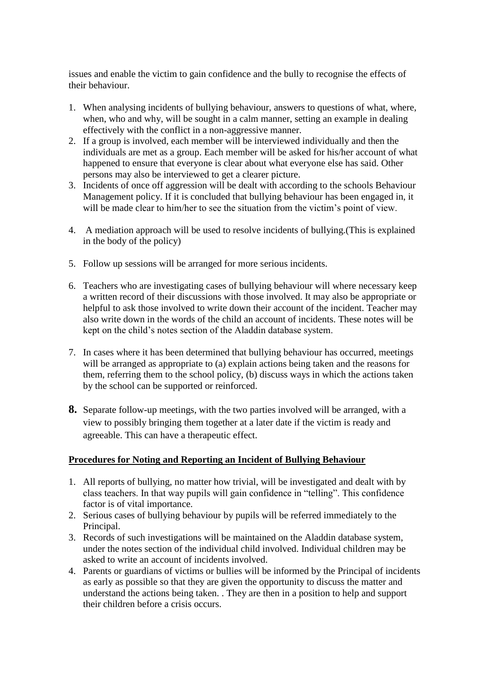issues and enable the victim to gain confidence and the bully to recognise the effects of their behaviour.

- 1. When analysing incidents of bullying behaviour, answers to questions of what, where, when, who and why, will be sought in a calm manner, setting an example in dealing effectively with the conflict in a non-aggressive manner.
- 2. If a group is involved, each member will be interviewed individually and then the individuals are met as a group. Each member will be asked for his/her account of what happened to ensure that everyone is clear about what everyone else has said. Other persons may also be interviewed to get a clearer picture.
- 3. Incidents of once off aggression will be dealt with according to the schools Behaviour Management policy. If it is concluded that bullying behaviour has been engaged in, it will be made clear to him/her to see the situation from the victim's point of view.
- 4. A mediation approach will be used to resolve incidents of bullying.(This is explained in the body of the policy)
- 5. Follow up sessions will be arranged for more serious incidents.
- 6. Teachers who are investigating cases of bullying behaviour will where necessary keep a written record of their discussions with those involved. It may also be appropriate or helpful to ask those involved to write down their account of the incident. Teacher may also write down in the words of the child an account of incidents. These notes will be kept on the child's notes section of the Aladdin database system.
- 7. In cases where it has been determined that bullying behaviour has occurred, meetings will be arranged as appropriate to (a) explain actions being taken and the reasons for them, referring them to the school policy, (b) discuss ways in which the actions taken by the school can be supported or reinforced.
- **8.** Separate follow-up meetings, with the two parties involved will be arranged, with a view to possibly bringing them together at a later date if the victim is ready and agreeable. This can have a therapeutic effect.

## **Procedures for Noting and Reporting an Incident of Bullying Behaviour**

- 1. All reports of bullying, no matter how trivial, will be investigated and dealt with by class teachers. In that way pupils will gain confidence in "telling". This confidence factor is of vital importance.
- 2. Serious cases of bullying behaviour by pupils will be referred immediately to the Principal.
- 3. Records of such investigations will be maintained on the Aladdin database system, under the notes section of the individual child involved. Individual children may be asked to write an account of incidents involved.
- 4. Parents or guardians of victims or bullies will be informed by the Principal of incidents as early as possible so that they are given the opportunity to discuss the matter and understand the actions being taken. . They are then in a position to help and support their children before a crisis occurs.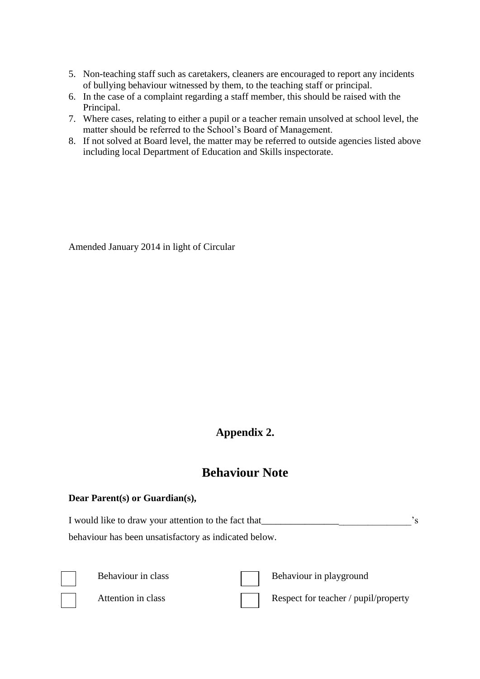- 5. Non-teaching staff such as caretakers, cleaners are encouraged to report any incidents of bullying behaviour witnessed by them, to the teaching staff or principal.
- 6. In the case of a complaint regarding a staff member, this should be raised with the Principal.
- 7. Where cases, relating to either a pupil or a teacher remain unsolved at school level, the matter should be referred to the School's Board of Management.
- 8. If not solved at Board level, the matter may be referred to outside agencies listed above including local Department of Education and Skills inspectorate.

Amended January 2014 in light of Circular

# **Appendix 2.**

# **Behaviour Note**

## **Dear Parent(s) or Guardian(s),**

I would like to draw your attention to the fact that Theorem 2. The same set of the set of  $\sim$  s behaviour has been unsatisfactory as indicated below.





Behaviour in class **Behaviour in playground** 

Attention in class Respect for teacher / pupil/property